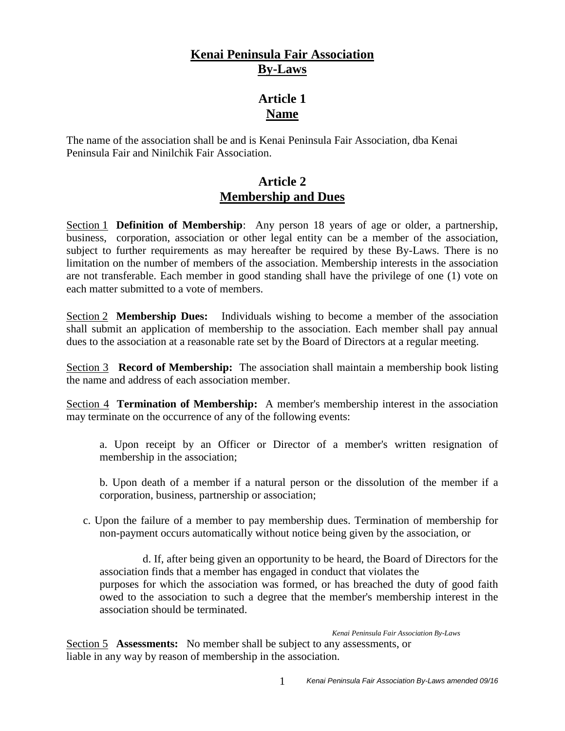## **Kenai Peninsula Fair Association By-Laws**

# **Article 1 Name**

The name of the association shall be and is Kenai Peninsula Fair Association, dba Kenai Peninsula Fair and Ninilchik Fair Association.

### **Article 2 Membership and Dues**

Section 1 **Definition of Membership**: Any person 18 years of age or older, a partnership, business, corporation, association or other legal entity can be a member of the association, subject to further requirements as may hereafter be required by these By-Laws. There is no limitation on the number of members of the association. Membership interests in the association are not transferable. Each member in good standing shall have the privilege of one (1) vote on each matter submitted to a vote of members.

Section 2 **Membership Dues:** Individuals wishing to become a member of the association shall submit an application of membership to the association. Each member shall pay annual dues to the association at a reasonable rate set by the Board of Directors at a regular meeting.

Section 3 **Record of Membership:** The association shall maintain a membership book listing the name and address of each association member.

Section 4 **Termination of Membership:** A member's membership interest in the association may terminate on the occurrence of any of the following events:

a. Upon receipt by an Officer or Director of a member's written resignation of membership in the association;

b. Upon death of a member if a natural person or the dissolution of the member if a corporation, business, partnership or association;

c. Upon the failure of a member to pay membership dues. Termination of membership for non-payment occurs automatically without notice being given by the association, or

d. If, after being given an opportunity to be heard, the Board of Directors for the association finds that a member has engaged in conduct that violates the purposes for which the association was formed, or has breached the duty of good faith owed to the association to such a degree that the member's membership interest in the association should be terminated.

*Kenai Peninsula Fair Association By-Laws*

Section 5 **Assessments:** No member shall be subject to any assessments, or liable in any way by reason of membership in the association.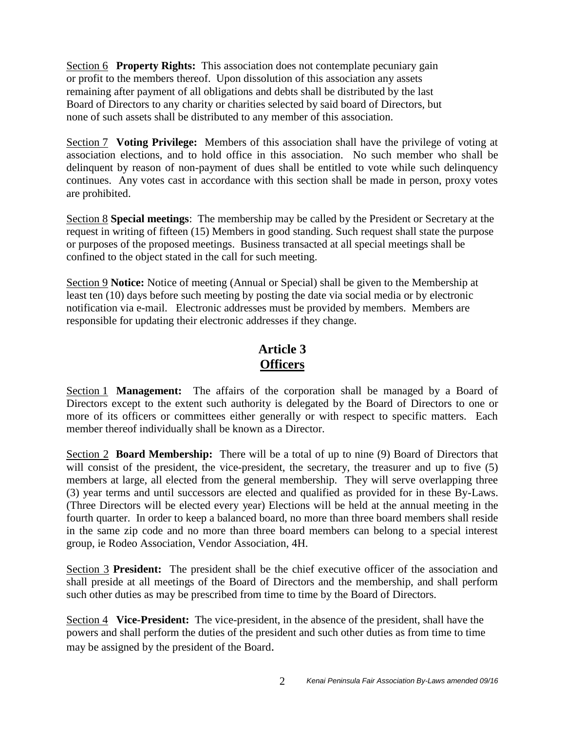Section 6 **Property Rights:** This association does not contemplate pecuniary gain or profit to the members thereof. Upon dissolution of this association any assets remaining after payment of all obligations and debts shall be distributed by the last Board of Directors to any charity or charities selected by said board of Directors, but none of such assets shall be distributed to any member of this association.

Section 7 **Voting Privilege:** Members of this association shall have the privilege of voting at association elections, and to hold office in this association. No such member who shall be delinquent by reason of non-payment of dues shall be entitled to vote while such delinquency continues. Any votes cast in accordance with this section shall be made in person, proxy votes are prohibited.

Section 8 **Special meetings**: The membership may be called by the President or Secretary at the request in writing of fifteen (15) Members in good standing. Such request shall state the purpose or purposes of the proposed meetings. Business transacted at all special meetings shall be confined to the object stated in the call for such meeting.

Section 9 **Notice:** Notice of meeting (Annual or Special) shall be given to the Membership at least ten (10) days before such meeting by posting the date via social media or by electronic notification via e-mail. Electronic addresses must be provided by members. Members are responsible for updating their electronic addresses if they change.

# **Article 3 Officers**

Section 1 **Management:** The affairs of the corporation shall be managed by a Board of Directors except to the extent such authority is delegated by the Board of Directors to one or more of its officers or committees either generally or with respect to specific matters. Each member thereof individually shall be known as a Director.

Section 2 **Board Membership:** There will be a total of up to nine (9) Board of Directors that will consist of the president, the vice-president, the secretary, the treasurer and up to five (5) members at large, all elected from the general membership. They will serve overlapping three (3) year terms and until successors are elected and qualified as provided for in these By-Laws. (Three Directors will be elected every year) Elections will be held at the annual meeting in the fourth quarter. In order to keep a balanced board, no more than three board members shall reside in the same zip code and no more than three board members can belong to a special interest group, ie Rodeo Association, Vendor Association, 4H.

Section 3 **President:** The president shall be the chief executive officer of the association and shall preside at all meetings of the Board of Directors and the membership, and shall perform such other duties as may be prescribed from time to time by the Board of Directors.

Section 4 **Vice-President:** The vice-president, in the absence of the president, shall have the powers and shall perform the duties of the president and such other duties as from time to time may be assigned by the president of the Board.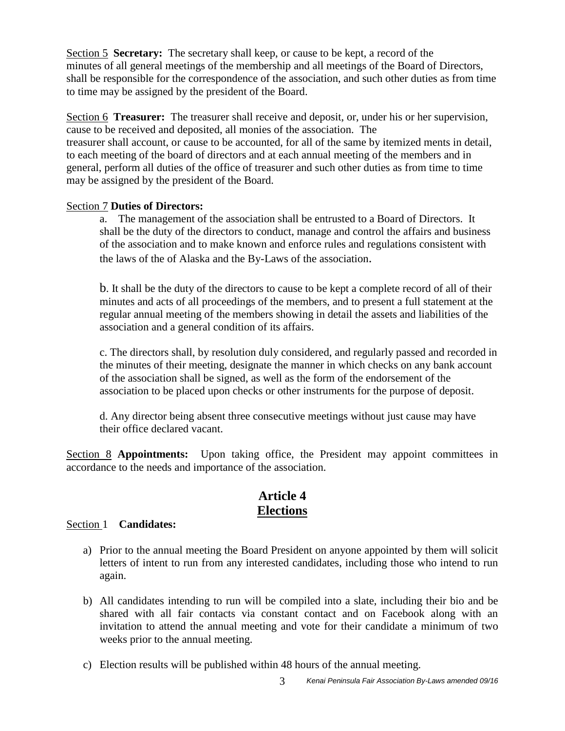Section 5 **Secretary:** The secretary shall keep, or cause to be kept, a record of the minutes of all general meetings of the membership and all meetings of the Board of Directors, shall be responsible for the correspondence of the association, and such other duties as from time to time may be assigned by the president of the Board.

Section 6 **Treasurer:** The treasurer shall receive and deposit, or, under his or her supervision, cause to be received and deposited, all monies of the association. The treasurer shall account, or cause to be accounted, for all of the same by itemized ments in detail, to each meeting of the board of directors and at each annual meeting of the members and in general, perform all duties of the office of treasurer and such other duties as from time to time may be assigned by the president of the Board.

#### Section 7 **Duties of Directors:**

a. The management of the association shall be entrusted to a Board of Directors. It shall be the duty of the directors to conduct, manage and control the affairs and business of the association and to make known and enforce rules and regulations consistent with the laws of the of Alaska and the By-Laws of the association.

b. It shall be the duty of the directors to cause to be kept a complete record of all of their minutes and acts of all proceedings of the members, and to present a full statement at the regular annual meeting of the members showing in detail the assets and liabilities of the association and a general condition of its affairs.

c. The directors shall, by resolution duly considered, and regularly passed and recorded in the minutes of their meeting, designate the manner in which checks on any bank account of the association shall be signed, as well as the form of the endorsement of the association to be placed upon checks or other instruments for the purpose of deposit.

d. Any director being absent three consecutive meetings without just cause may have their office declared vacant.

Section 8 **Appointments:** Upon taking office, the President may appoint committees in accordance to the needs and importance of the association.

#### **Article 4 Elections**

#### Section 1 **Candidates:**

- a) Prior to the annual meeting the Board President on anyone appointed by them will solicit letters of intent to run from any interested candidates, including those who intend to run again.
- b) All candidates intending to run will be compiled into a slate, including their bio and be shared with all fair contacts via constant contact and on Facebook along with an invitation to attend the annual meeting and vote for their candidate a minimum of two weeks prior to the annual meeting.
- c) Election results will be published within 48 hours of the annual meeting.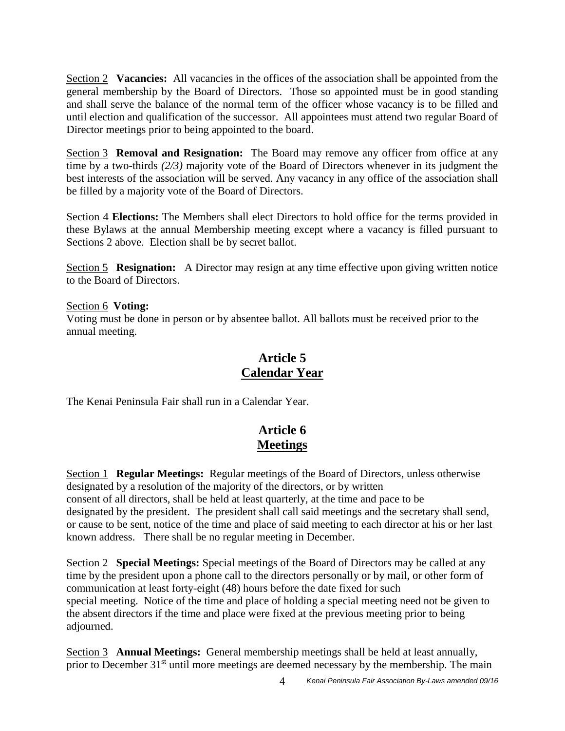Section 2 **Vacancies:** All vacancies in the offices of the association shall be appointed from the general membership by the Board of Directors. Those so appointed must be in good standing and shall serve the balance of the normal term of the officer whose vacancy is to be filled and until election and qualification of the successor. All appointees must attend two regular Board of Director meetings prior to being appointed to the board.

Section 3 **Removal and Resignation:** The Board may remove any officer from office at any time by a two-thirds *(2/3)* majority vote of the Board of Directors whenever in its judgment the best interests of the association will be served. Any vacancy in any office of the association shall be filled by a majority vote of the Board of Directors.

Section 4 **Elections:** The Members shall elect Directors to hold office for the terms provided in these Bylaws at the annual Membership meeting except where a vacancy is filled pursuant to Sections 2 above. Election shall be by secret ballot.

Section 5 **Resignation:** A Director may resign at any time effective upon giving written notice to the Board of Directors.

Section 6 **Voting:** Voting must be done in person or by absentee ballot. All ballots must be received prior to the annual meeting.

# **Article 5 Calendar Year**

The Kenai Peninsula Fair shall run in a Calendar Year.

# **Article 6 Meetings**

Section 1 **Regular Meetings:** Regular meetings of the Board of Directors, unless otherwise designated by a resolution of the majority of the directors, or by written consent of all directors, shall be held at least quarterly, at the time and pace to be designated by the president. The president shall call said meetings and the secretary shall send, or cause to be sent, notice of the time and place of said meeting to each director at his or her last known address. There shall be no regular meeting in December.

Section 2 **Special Meetings:** Special meetings of the Board of Directors may be called at any time by the president upon a phone call to the directors personally or by mail, or other form of communication at least forty-eight (48) hours before the date fixed for such special meeting. Notice of the time and place of holding a special meeting need not be given to the absent directors if the time and place were fixed at the previous meeting prior to being adjourned.

Section 3 **Annual Meetings:** General membership meetings shall be held at least annually, prior to December  $31<sup>st</sup>$  until more meetings are deemed necessary by the membership. The main